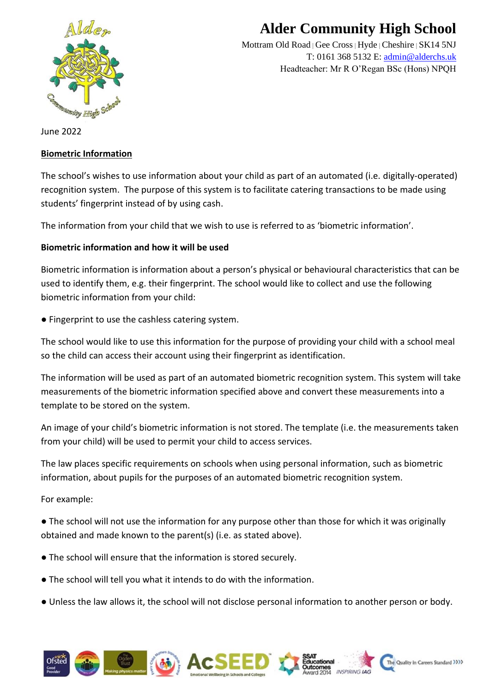

## **Alder Community High School**

Mottram Old Road **|** Gee Cross**|** Hyde **|** Cheshire **|** SK14 5NJ T: 0161 368 5132 E: [admin@alderchs.uk](mailto:admin@alderchs.uk) Headteacher: Mr R O'Regan BSc (Hons) NPQH

June 2022

## **Biometric Information**

The school's wishes to use information about your child as part of an automated (i.e. digitally-operated) recognition system. The purpose of this system is to facilitate catering transactions to be made using students' fingerprint instead of by using cash.

The information from your child that we wish to use is referred to as 'biometric information'.

## **Biometric information and how it will be used**

Biometric information is information about a person's physical or behavioural characteristics that can be used to identify them, e.g. their fingerprint. The school would like to collect and use the following biometric information from your child:

● Fingerprint to use the cashless catering system.

The school would like to use this information for the purpose of providing your child with a school meal so the child can access their account using their fingerprint as identification.

The information will be used as part of an automated biometric recognition system. This system will take measurements of the biometric information specified above and convert these measurements into a template to be stored on the system.

An image of your child's biometric information is not stored. The template (i.e. the measurements taken from your child) will be used to permit your child to access services.

The law places specific requirements on schools when using personal information, such as biometric information, about pupils for the purposes of an automated biometric recognition system.

For example:

● The school will not use the information for any purpose other than those for which it was originally obtained and made known to the parent(s) (i.e. as stated above).

- The school will ensure that the information is stored securely.
- The school will tell you what it intends to do with the information.
- Unless the law allows it, the school will not disclose personal information to another person or body.